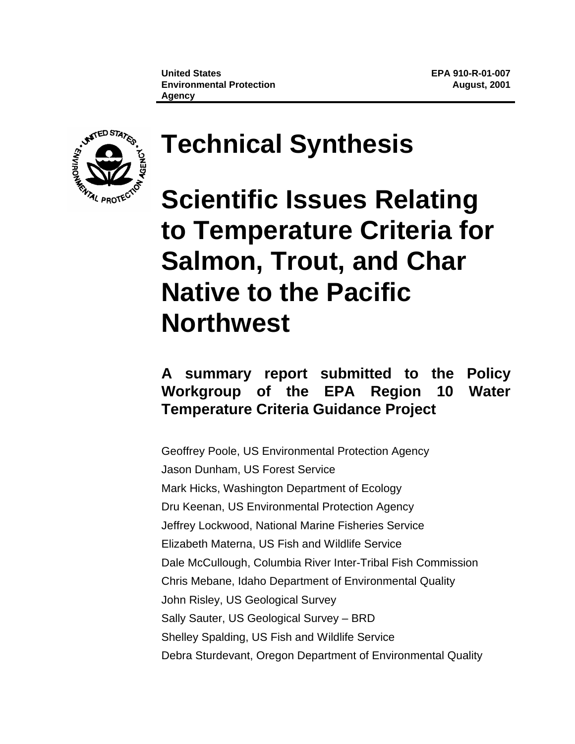

# **Technical Synthesis**

**Scientific Issues Relating to Temperature Criteria for Salmon, Trout, and Char Native to the Pacific Northwest**

## **A summary report submitted to the Policy Workgroup of the EPA Region 10 Water Temperature Criteria Guidance Project**

Geoffrey Poole, US Environmental Protection Agency Jason Dunham, US Forest Service Mark Hicks, Washington Department of Ecology Dru Keenan, US Environmental Protection Agency Jeffrey Lockwood, National Marine Fisheries Service Elizabeth Materna, US Fish and Wildlife Service Dale McCullough, Columbia River Inter-Tribal Fish Commission Chris Mebane, Idaho Department of Environmental Quality John Risley, US Geological Survey Sally Sauter, US Geological Survey – BRD Shelley Spalding, US Fish and Wildlife Service Debra Sturdevant, Oregon Department of Environmental Quality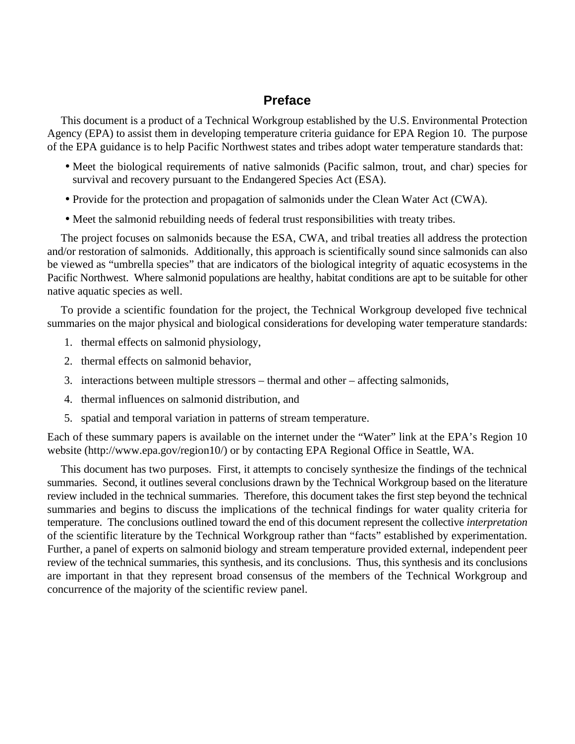## **Preface**

This document is a product of a Technical Workgroup established by the U.S. Environmental Protection Agency (EPA) to assist them in developing temperature criteria guidance for EPA Region 10. The purpose of the EPA guidance is to help Pacific Northwest states and tribes adopt water temperature standards that:

- Meet the biological requirements of native salmonids (Pacific salmon, trout, and char) species for survival and recovery pursuant to the Endangered Species Act (ESA).
- Provide for the protection and propagation of salmonids under the Clean Water Act (CWA).
- Meet the salmonid rebuilding needs of federal trust responsibilities with treaty tribes.

The project focuses on salmonids because the ESA, CWA, and tribal treaties all address the protection and/or restoration of salmonids. Additionally, this approach is scientifically sound since salmonids can also be viewed as "umbrella species" that are indicators of the biological integrity of aquatic ecosystems in the Pacific Northwest. Where salmonid populations are healthy, habitat conditions are apt to be suitable for other native aquatic species as well.

To provide a scientific foundation for the project, the Technical Workgroup developed five technical summaries on the major physical and biological considerations for developing water temperature standards:

- 1. thermal effects on salmonid physiology,
- 2. thermal effects on salmonid behavior,
- 3. interactions between multiple stressors thermal and other affecting salmonids,
- 4. thermal influences on salmonid distribution, and
- 5. spatial and temporal variation in patterns of stream temperature.

Each of these summary papers is available on the internet under the "Water" link at the EPA's Region 10 website (http://www.epa.gov/region10/) or by contacting EPA Regional Office in Seattle, WA.

This document has two purposes. First, it attempts to concisely synthesize the findings of the technical summaries. Second, it outlines several conclusions drawn by the Technical Workgroup based on the literature review included in the technical summaries. Therefore, this document takes the first step beyond the technical summaries and begins to discuss the implications of the technical findings for water quality criteria for temperature. The conclusions outlined toward the end of this document represent the collective *interpretation* of the scientific literature by the Technical Workgroup rather than "facts" established by experimentation. Further, a panel of experts on salmonid biology and stream temperature provided external, independent peer review of the technical summaries, this synthesis, and its conclusions. Thus, this synthesis and its conclusions are important in that they represent broad consensus of the members of the Technical Workgroup and concurrence of the majority of the scientific review panel.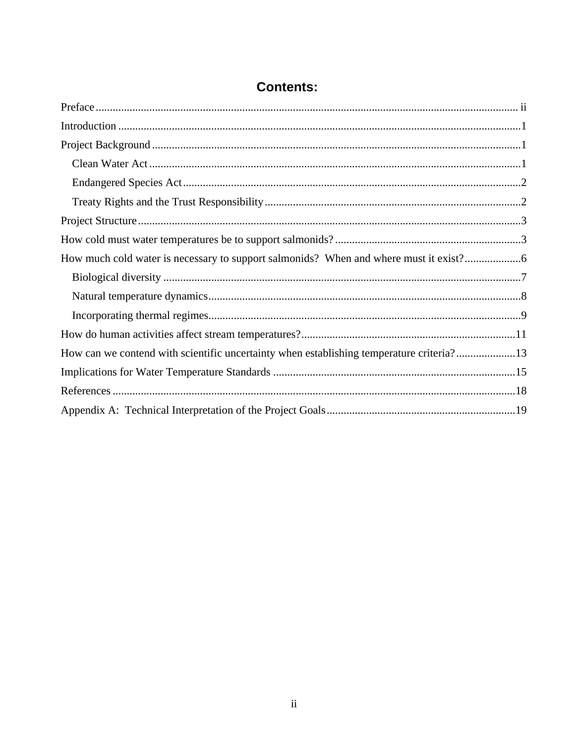| How much cold water is necessary to support salmonids? When and where must it exist?     |  |
|------------------------------------------------------------------------------------------|--|
|                                                                                          |  |
|                                                                                          |  |
|                                                                                          |  |
|                                                                                          |  |
| How can we contend with scientific uncertainty when establishing temperature criteria?13 |  |
|                                                                                          |  |
|                                                                                          |  |
|                                                                                          |  |

## **Contents:**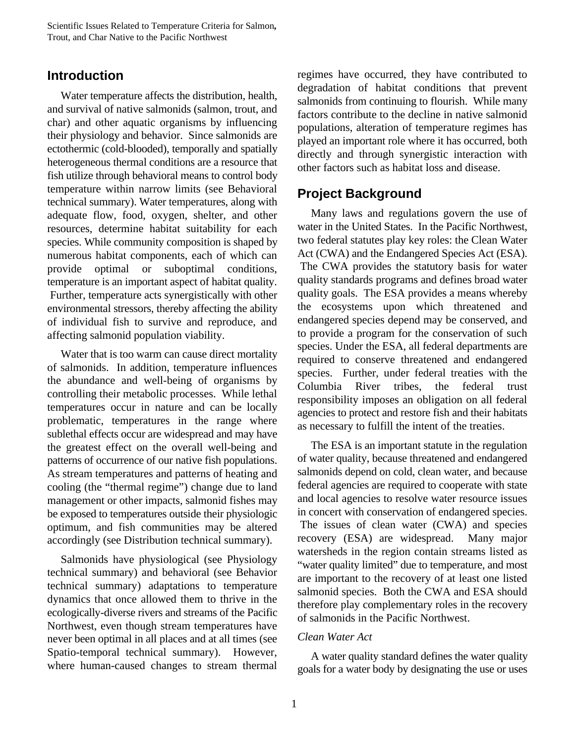## **Introduction**

Water temperature affects the distribution, health, and survival of native salmonids (salmon, trout, and char) and other aquatic organisms by influencing their physiology and behavior. Since salmonids are ectothermic (cold-blooded), temporally and spatially heterogeneous thermal conditions are a resource that fish utilize through behavioral means to control body temperature within narrow limits (see Behavioral technical summary). Water temperatures, along with adequate flow, food, oxygen, shelter, and other resources, determine habitat suitability for each species. While community composition is shaped by numerous habitat components, each of which can provide optimal or suboptimal conditions, temperature is an important aspect of habitat quality. Further, temperature acts synergistically with other environmental stressors, thereby affecting the ability of individual fish to survive and reproduce, and affecting salmonid population viability.

Water that is too warm can cause direct mortality of salmonids. In addition, temperature influences the abundance and well-being of organisms by controlling their metabolic processes. While lethal temperatures occur in nature and can be locally problematic, temperatures in the range where sublethal effects occur are widespread and may have the greatest effect on the overall well-being and patterns of occurrence of our native fish populations. As stream temperatures and patterns of heating and cooling (the "thermal regime") change due to land management or other impacts, salmonid fishes may be exposed to temperatures outside their physiologic optimum, and fish communities may be altered accordingly (see Distribution technical summary).

Salmonids have physiological (see Physiology technical summary) and behavioral (see Behavior technical summary) adaptations to temperature dynamics that once allowed them to thrive in the ecologically-diverse rivers and streams of the Pacific Northwest, even though stream temperatures have never been optimal in all places and at all times (see Spatio-temporal technical summary). However, where human-caused changes to stream thermal

regimes have occurred, they have contributed to degradation of habitat conditions that prevent salmonids from continuing to flourish. While many factors contribute to the decline in native salmonid populations, alteration of temperature regimes has played an important role where it has occurred, both directly and through synergistic interaction with other factors such as habitat loss and disease.

## **Project Background**

Many laws and regulations govern the use of water in the United States. In the Pacific Northwest, two federal statutes play key roles: the Clean Water Act (CWA) and the Endangered Species Act (ESA). The CWA provides the statutory basis for water quality standards programs and defines broad water quality goals. The ESA provides a means whereby the ecosystems upon which threatened and endangered species depend may be conserved, and to provide a program for the conservation of such species. Under the ESA, all federal departments are required to conserve threatened and endangered species. Further, under federal treaties with the Columbia River tribes, the federal trust responsibility imposes an obligation on all federal agencies to protect and restore fish and their habitats as necessary to fulfill the intent of the treaties.

The ESA is an important statute in the regulation of water quality, because threatened and endangered salmonids depend on cold, clean water, and because federal agencies are required to cooperate with state and local agencies to resolve water resource issues in concert with conservation of endangered species. The issues of clean water (CWA) and species recovery (ESA) are widespread. Many major watersheds in the region contain streams listed as "water quality limited" due to temperature, and most are important to the recovery of at least one listed salmonid species. Both the CWA and ESA should therefore play complementary roles in the recovery of salmonids in the Pacific Northwest.

#### *Clean Water Act*

A water quality standard defines the water quality goals for a water body by designating the use or uses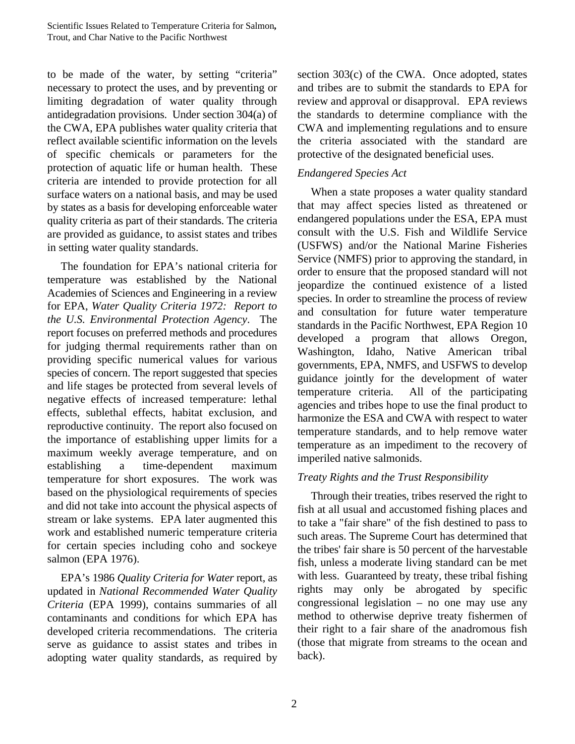to be made of the water, by setting "criteria" necessary to protect the uses, and by preventing or limiting degradation of water quality through antidegradation provisions. Under section 304(a) of the CWA, EPA publishes water quality criteria that reflect available scientific information on the levels of specific chemicals or parameters for the protection of aquatic life or human health. These criteria are intended to provide protection for all surface waters on a national basis, and may be used by states as a basis for developing enforceable water quality criteria as part of their standards. The criteria are provided as guidance, to assist states and tribes in setting water quality standards.

The foundation for EPA's national criteria for temperature was established by the National Academies of Sciences and Engineering in a review for EPA, *Water Quality Criteria 1972: Report to the U.S. Environmental Protection Agency*. The report focuses on preferred methods and procedures for judging thermal requirements rather than on providing specific numerical values for various species of concern. The report suggested that species and life stages be protected from several levels of negative effects of increased temperature: lethal effects, sublethal effects, habitat exclusion, and reproductive continuity. The report also focused on the importance of establishing upper limits for a maximum weekly average temperature, and on establishing a time-dependent maximum temperature for short exposures. The work was based on the physiological requirements of species and did not take into account the physical aspects of stream or lake systems. EPA later augmented this work and established numeric temperature criteria for certain species including coho and sockeye salmon (EPA 1976).

EPA's 1986 *Quality Criteria for Water* report, as updated in *National Recommended Water Quality Criteria* (EPA 1999), contains summaries of all contaminants and conditions for which EPA has developed criteria recommendations. The criteria serve as guidance to assist states and tribes in adopting water quality standards, as required by section 303(c) of the CWA. Once adopted, states and tribes are to submit the standards to EPA for review and approval or disapproval. EPA reviews the standards to determine compliance with the CWA and implementing regulations and to ensure the criteria associated with the standard are protective of the designated beneficial uses.

#### *Endangered Species Act*

When a state proposes a water quality standard that may affect species listed as threatened or endangered populations under the ESA, EPA must consult with the U.S. Fish and Wildlife Service (USFWS) and/or the National Marine Fisheries Service (NMFS) prior to approving the standard, in order to ensure that the proposed standard will not jeopardize the continued existence of a listed species. In order to streamline the process of review and consultation for future water temperature standards in the Pacific Northwest, EPA Region 10 developed a program that allows Oregon, Washington, Idaho, Native American tribal governments, EPA, NMFS, and USFWS to develop guidance jointly for the development of water temperature criteria. All of the participating agencies and tribes hope to use the final product to harmonize the ESA and CWA with respect to water temperature standards, and to help remove water temperature as an impediment to the recovery of imperiled native salmonids.

#### *Treaty Rights and the Trust Responsibility*

Through their treaties, tribes reserved the right to fish at all usual and accustomed fishing places and to take a "fair share" of the fish destined to pass to such areas. The Supreme Court has determined that the tribes' fair share is 50 percent of the harvestable fish, unless a moderate living standard can be met with less. Guaranteed by treaty, these tribal fishing rights may only be abrogated by specific congressional legislation – no one may use any method to otherwise deprive treaty fishermen of their right to a fair share of the anadromous fish (those that migrate from streams to the ocean and back).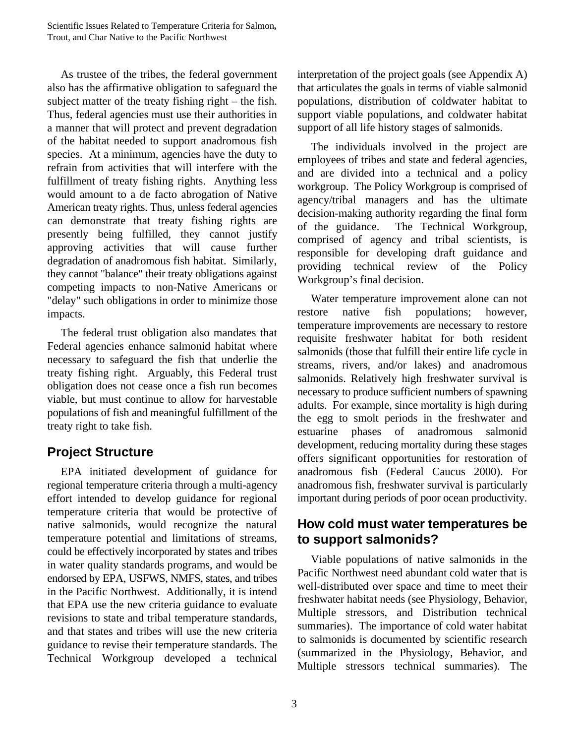As trustee of the tribes, the federal government also has the affirmative obligation to safeguard the subject matter of the treaty fishing right – the fish. Thus, federal agencies must use their authorities in a manner that will protect and prevent degradation of the habitat needed to support anadromous fish species. At a minimum, agencies have the duty to refrain from activities that will interfere with the fulfillment of treaty fishing rights. Anything less would amount to a de facto abrogation of Native American treaty rights. Thus, unless federal agencies can demonstrate that treaty fishing rights are presently being fulfilled, they cannot justify approving activities that will cause further degradation of anadromous fish habitat. Similarly, they cannot "balance" their treaty obligations against competing impacts to non-Native Americans or "delay" such obligations in order to minimize those impacts.

The federal trust obligation also mandates that Federal agencies enhance salmonid habitat where necessary to safeguard the fish that underlie the treaty fishing right. Arguably, this Federal trust obligation does not cease once a fish run becomes viable, but must continue to allow for harvestable populations of fish and meaningful fulfillment of the treaty right to take fish.

## **Project Structure**

EPA initiated development of guidance for regional temperature criteria through a multi-agency effort intended to develop guidance for regional temperature criteria that would be protective of native salmonids, would recognize the natural temperature potential and limitations of streams, could be effectively incorporated by states and tribes in water quality standards programs, and would be endorsed by EPA, USFWS, NMFS, states, and tribes in the Pacific Northwest. Additionally, it is intend that EPA use the new criteria guidance to evaluate revisions to state and tribal temperature standards, and that states and tribes will use the new criteria guidance to revise their temperature standards. The Technical Workgroup developed a technical

interpretation of the project goals (see Appendix A) that articulates the goals in terms of viable salmonid populations, distribution of coldwater habitat to support viable populations, and coldwater habitat support of all life history stages of salmonids.

The individuals involved in the project are employees of tribes and state and federal agencies, and are divided into a technical and a policy workgroup. The Policy Workgroup is comprised of agency/tribal managers and has the ultimate decision-making authority regarding the final form of the guidance. The Technical Workgroup, comprised of agency and tribal scientists, is responsible for developing draft guidance and providing technical review of the Policy Workgroup's final decision.

Water temperature improvement alone can not restore native fish populations; however, temperature improvements are necessary to restore requisite freshwater habitat for both resident salmonids (those that fulfill their entire life cycle in streams, rivers, and/or lakes) and anadromous salmonids. Relatively high freshwater survival is necessary to produce sufficient numbers of spawning adults. For example, since mortality is high during the egg to smolt periods in the freshwater and estuarine phases of anadromous salmonid development, reducing mortality during these stages offers significant opportunities for restoration of anadromous fish (Federal Caucus 2000). For anadromous fish, freshwater survival is particularly important during periods of poor ocean productivity.

## **How cold must water temperatures be to support salmonids?**

Viable populations of native salmonids in the Pacific Northwest need abundant cold water that is well-distributed over space and time to meet their freshwater habitat needs (see Physiology, Behavior, Multiple stressors, and Distribution technical summaries). The importance of cold water habitat to salmonids is documented by scientific research (summarized in the Physiology, Behavior, and Multiple stressors technical summaries). The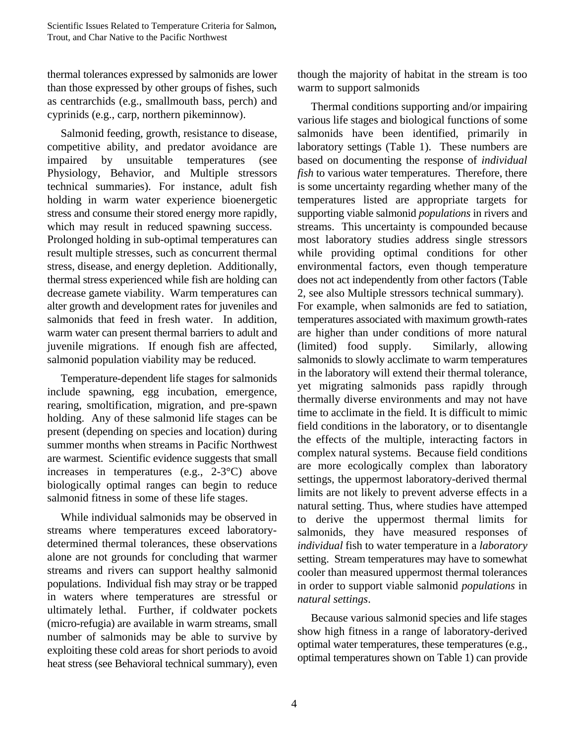thermal tolerances expressed by salmonids are lower than those expressed by other groups of fishes, such as centrarchids (e.g., smallmouth bass, perch) and cyprinids (e.g., carp, northern pikeminnow).

Salmonid feeding, growth, resistance to disease, competitive ability, and predator avoidance are impaired by unsuitable temperatures (see Physiology, Behavior, and Multiple stressors technical summaries). For instance, adult fish holding in warm water experience bioenergetic stress and consume their stored energy more rapidly, which may result in reduced spawning success. Prolonged holding in sub-optimal temperatures can result multiple stresses, such as concurrent thermal stress, disease, and energy depletion. Additionally, thermal stress experienced while fish are holding can decrease gamete viability. Warm temperatures can alter growth and development rates for juveniles and salmonids that feed in fresh water. In addition, warm water can present thermal barriers to adult and juvenile migrations. If enough fish are affected, salmonid population viability may be reduced.

Temperature-dependent life stages for salmonids include spawning, egg incubation, emergence, rearing, smoltification, migration, and pre-spawn holding. Any of these salmonid life stages can be present (depending on species and location) during summer months when streams in Pacific Northwest are warmest. Scientific evidence suggests that small increases in temperatures (e.g., 2-3°C) above biologically optimal ranges can begin to reduce salmonid fitness in some of these life stages.

While individual salmonids may be observed in streams where temperatures exceed laboratorydetermined thermal tolerances, these observations alone are not grounds for concluding that warmer streams and rivers can support healthy salmonid populations. Individual fish may stray or be trapped in waters where temperatures are stressful or ultimately lethal. Further, if coldwater pockets (micro-refugia) are available in warm streams, small number of salmonids may be able to survive by exploiting these cold areas for short periods to avoid heat stress (see Behavioral technical summary), even though the majority of habitat in the stream is too warm to support salmonids

Thermal conditions supporting and/or impairing various life stages and biological functions of some salmonids have been identified, primarily in laboratory settings (Table 1). These numbers are based on documenting the response of *individual fish* to various water temperatures. Therefore, there is some uncertainty regarding whether many of the temperatures listed are appropriate targets for supporting viable salmonid *populations* in rivers and streams. This uncertainty is compounded because most laboratory studies address single stressors while providing optimal conditions for other environmental factors, even though temperature does not act independently from other factors (Table 2, see also Multiple stressors technical summary). For example, when salmonids are fed to satiation, temperatures associated with maximum growth-rates are higher than under conditions of more natural (limited) food supply. Similarly, allowing salmonids to slowly acclimate to warm temperatures in the laboratory will extend their thermal tolerance, yet migrating salmonids pass rapidly through thermally diverse environments and may not have time to acclimate in the field. It is difficult to mimic field conditions in the laboratory, or to disentangle the effects of the multiple, interacting factors in complex natural systems. Because field conditions are more ecologically complex than laboratory settings, the uppermost laboratory-derived thermal limits are not likely to prevent adverse effects in a natural setting. Thus, where studies have attemped to derive the uppermost thermal limits for salmonids, they have measured responses of *individual* fish to water temperature in a *laboratory* setting. Stream temperatures may have to somewhat cooler than measured uppermost thermal tolerances in order to support viable salmonid *populations* in *natural settings*.

Because various salmonid species and life stages show high fitness in a range of laboratory-derived optimal water temperatures, these temperatures (e.g., optimal temperatures shown on Table 1) can provide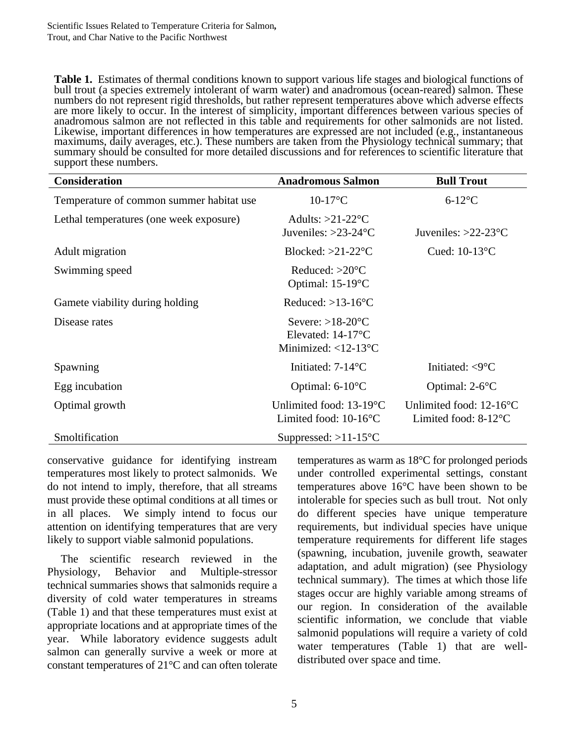**Table 1.** Estimates of thermal conditions known to support various life stages and biological functions of bull trout (a species extremely intolerant of warm water) and anadromous (ocean-reared) salmon. These numbers do not represent rigid thresholds, but rather represent temperatures above which adverse effects are more likely to occur. In the interest of simplicity, important differences between various species of anadromous salmon are not reflected in this table and requirements for other salmonids are not listed. Likewise, important differences in how temperatures are expressed are not included (e.g., instantaneous maximums, daily averages, etc.). These numbers are taken from the Physiology technical summary; that summary should be consulted for more detailed discussions and for references to scientific literature that support these numbers.

| <b>Consideration</b>                     | <b>Anadromous Salmon</b>                                                              | <b>Bull Trout</b>                                                 |
|------------------------------------------|---------------------------------------------------------------------------------------|-------------------------------------------------------------------|
| Temperature of common summer habitat use | $10-17$ °C                                                                            | $6-12$ °C                                                         |
| Lethal temperatures (one week exposure)  | Adults: $>21-22$ °C<br>Juveniles: $>23-24$ °C                                         | Juveniles: $>22-23$ °C                                            |
| Adult migration                          | Blocked: $>21-22$ °C                                                                  | Cued: $10-13$ °C                                                  |
| Swimming speed                           | Reduced: $>20^{\circ}$ C<br>Optimal: 15-19°C                                          |                                                                   |
| Gamete viability during holding          | Reduced: $>13-16$ °C                                                                  |                                                                   |
| Disease rates                            | Severe: $>18-20$ °C<br>Elevated: $14-17^{\circ}C$<br>Minimized: $<$ 12-13 $\degree$ C |                                                                   |
| Spawning                                 | Initiated: $7-14$ <sup>o</sup> C                                                      | Initiated: $\langle 9^{\circ}$ C                                  |
| Egg incubation                           | Optimal: 6-10°C                                                                       | Optimal: $2-6$ <sup>o</sup> C                                     |
| Optimal growth                           | Unlimited food: $13-19$ <sup>o</sup> C<br>Limited food: $10-16$ <sup>o</sup> C        | Unlimited food: $12-16$ °C<br>Limited food: $8-12$ <sup>o</sup> C |
| Smoltification                           | Suppressed: $>11-15$ <sup>o</sup> C                                                   |                                                                   |

conservative guidance for identifying instream temperatures most likely to protect salmonids. We do not intend to imply, therefore, that all streams must provide these optimal conditions at all times or in all places. We simply intend to focus our attention on identifying temperatures that are very likely to support viable salmonid populations.

The scientific research reviewed in the Physiology, Behavior and Multiple-stressor technical summaries shows that salmonids require a diversity of cold water temperatures in streams (Table 1) and that these temperatures must exist at appropriate locations and at appropriate times of the year. While laboratory evidence suggests adult salmon can generally survive a week or more at constant temperatures of 21°C and can often tolerate temperatures as warm as 18°C for prolonged periods under controlled experimental settings, constant temperatures above 16°C have been shown to be intolerable for species such as bull trout. Not only do different species have unique temperature requirements, but individual species have unique temperature requirements for different life stages (spawning, incubation, juvenile growth, seawater adaptation, and adult migration) (see Physiology technical summary). The times at which those life stages occur are highly variable among streams of our region. In consideration of the available scientific information, we conclude that viable salmonid populations will require a variety of cold water temperatures (Table 1) that are welldistributed over space and time.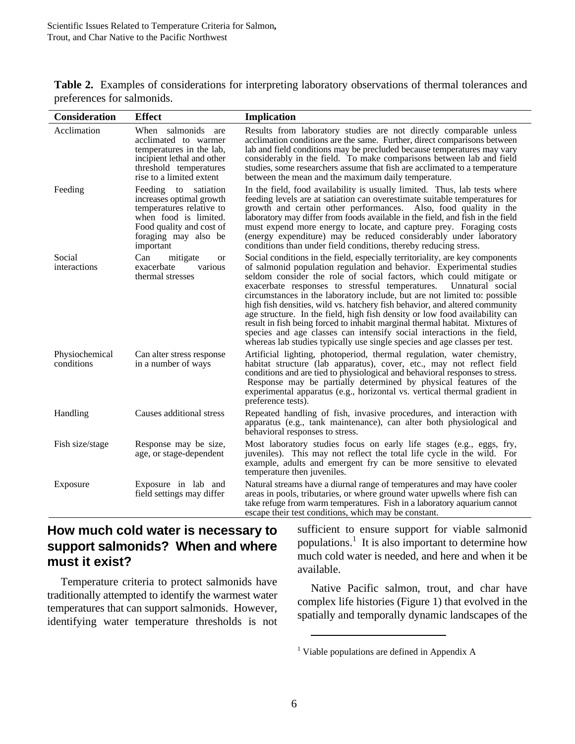|                            | Table 2. Examples of considerations for interpreting laboratory observations of thermal tolerances and |  |  |  |
|----------------------------|--------------------------------------------------------------------------------------------------------|--|--|--|
| preferences for salmonids. |                                                                                                        |  |  |  |

| <b>Consideration</b>         | <b>Effect</b>                                                                                                                                                             | <b>Implication</b>                                                                                                                                                                                                                                                                                                                                                                                                                                                                                                                                                                                                                                                                                                                                                                      |
|------------------------------|---------------------------------------------------------------------------------------------------------------------------------------------------------------------------|-----------------------------------------------------------------------------------------------------------------------------------------------------------------------------------------------------------------------------------------------------------------------------------------------------------------------------------------------------------------------------------------------------------------------------------------------------------------------------------------------------------------------------------------------------------------------------------------------------------------------------------------------------------------------------------------------------------------------------------------------------------------------------------------|
| Acclimation                  | When salmonids are<br>acclimated to warmer<br>temperatures in the lab,<br>incipient lethal and other<br>threshold temperatures<br>rise to a limited extent                | Results from laboratory studies are not directly comparable unless<br>acclimation conditions are the same. Further, direct comparisons between<br>lab and field conditions may be precluded because temperatures may vary<br>considerably in the field. To make comparisons between lab and field<br>studies, some researchers assume that fish are acclimated to a temperature<br>between the mean and the maximum daily temperature.                                                                                                                                                                                                                                                                                                                                                  |
| Feeding                      | to satiation<br>Feeding<br>increases optimal growth<br>temperatures relative to<br>when food is limited.<br>Food quality and cost of<br>foraging may also be<br>important | In the field, food availability is usually limited. Thus, lab tests where<br>feeding levels are at satiation can overestimate suitable temperatures for<br>growth and certain other performances. Also, food quality in the<br>laboratory may differ from foods available in the field, and fish in the field<br>must expend more energy to locate, and capture prey. Foraging costs<br>(energy expenditure) may be reduced considerably under laboratory<br>conditions than under field conditions, thereby reducing stress.                                                                                                                                                                                                                                                           |
| Social<br>interactions       | Can<br>mitigate<br><b>or</b><br>exacerbate<br>various<br>thermal stresses                                                                                                 | Social conditions in the field, especially territoriality, are key components<br>of salmonid population regulation and behavior. Experimental studies<br>seldom consider the role of social factors, which could mitigate or<br>exacerbate responses to stressful temperatures.<br>Unnatural social<br>circumstances in the laboratory include, but are not limited to: possible<br>high fish densities, wild vs. hatchery fish behavior, and altered community<br>age structure. In the field, high fish density or low food availability can<br>result in fish being forced to inhabit marginal thermal habitat. Mixtures of<br>species and age classes can intensify social interactions in the field,<br>whereas lab studies typically use single species and age classes per test. |
| Physiochemical<br>conditions | Can alter stress response<br>in a number of ways                                                                                                                          | Artificial lighting, photoperiod, thermal regulation, water chemistry,<br>habitat structure (lab apparatus), cover, etc., may not reflect field<br>conditions and are tied to physiological and behavioral responses to stress.<br>Response may be partially determined by physical features of the<br>experimental apparatus (e.g., horizontal vs. vertical thermal gradient in<br>preference tests).                                                                                                                                                                                                                                                                                                                                                                                  |
| Handling                     | Causes additional stress                                                                                                                                                  | Repeated handling of fish, invasive procedures, and interaction with<br>apparatus (e.g., tank maintenance), can alter both physiological and<br>behavioral responses to stress.                                                                                                                                                                                                                                                                                                                                                                                                                                                                                                                                                                                                         |
| Fish size/stage              | Response may be size,<br>age, or stage-dependent                                                                                                                          | Most laboratory studies focus on early life stages (e.g., eggs, fry,<br>juveniles). This may not reflect the total life cycle in the wild. For<br>example, adults and emergent fry can be more sensitive to elevated<br>temperature then juveniles.                                                                                                                                                                                                                                                                                                                                                                                                                                                                                                                                     |
| Exposure                     | Exposure in lab and<br>field settings may differ                                                                                                                          | Natural streams have a diurnal range of temperatures and may have cooler<br>areas in pools, tributaries, or where ground water upwells where fish can<br>take refuge from warm temperatures. Fish in a laboratory aquarium cannot<br>escape their test conditions, which may be constant.                                                                                                                                                                                                                                                                                                                                                                                                                                                                                               |

## **How much cold water is necessary to support salmonids? When and where must it exist?**

Temperature criteria to protect salmonids have traditionally attempted to identify the warmest water temperatures that can support salmonids. However, identifying water temperature thresholds is not

sufficient to ensure support for viable salmonid populations. $\frac{1}{1}$  It is also important to determine how much cold water is needed, and here and when it be available.

Native Pacific salmon, trout, and char have complex life histories (Figure 1) that evolved in the spatially and temporally dynamic landscapes of the

 $\overline{a}$ 

<sup>&</sup>lt;sup>1</sup> Viable populations are defined in Appendix A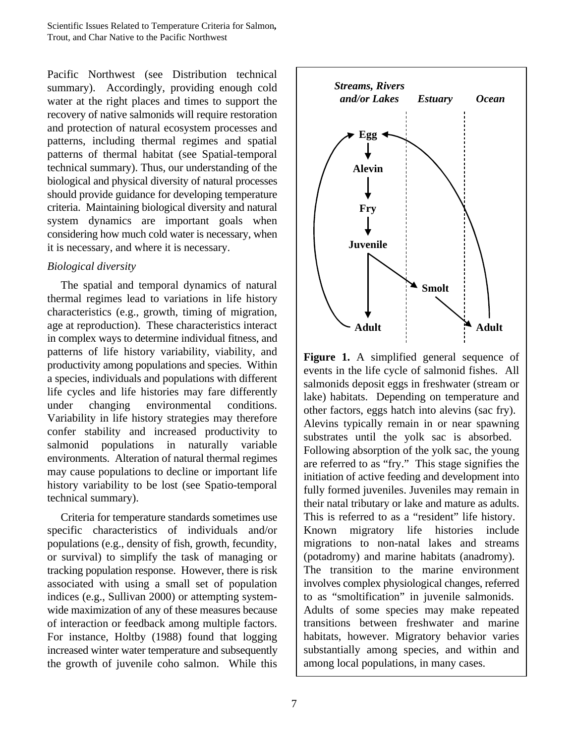Pacific Northwest (see Distribution technical summary). Accordingly, providing enough cold water at the right places and times to support the recovery of native salmonids will require restoration and protection of natural ecosystem processes and patterns, including thermal regimes and spatial patterns of thermal habitat (see Spatial-temporal technical summary). Thus, our understanding of the biological and physical diversity of natural processes should provide guidance for developing temperature criteria. Maintaining biological diversity and natural system dynamics are important goals when considering how much cold water is necessary, when it is necessary, and where it is necessary.

#### *Biological diversity*

The spatial and temporal dynamics of natural thermal regimes lead to variations in life history characteristics (e.g., growth, timing of migration, age at reproduction). These characteristics interact in complex ways to determine individual fitness, and patterns of life history variability, viability, and productivity among populations and species. Within a species, individuals and populations with different life cycles and life histories may fare differently under changing environmental conditions. Variability in life history strategies may therefore confer stability and increased productivity to salmonid populations in naturally variable environments. Alteration of natural thermal regimes may cause populations to decline or important life history variability to be lost (see Spatio-temporal technical summary).

Criteria for temperature standards sometimes use specific characteristics of individuals and/or populations (e.g., density of fish, growth, fecundity, or survival) to simplify the task of managing or tracking population response. However, there is risk associated with using a small set of population indices (e.g., Sullivan 2000) or attempting systemwide maximization of any of these measures because of interaction or feedback among multiple factors. For instance, Holtby (1988) found that logging increased winter water temperature and subsequently the growth of juvenile coho salmon. While this



**Figure 1.** A simplified general sequence of events in the life cycle of salmonid fishes. All salmonids deposit eggs in freshwater (stream or lake) habitats. Depending on temperature and other factors, eggs hatch into alevins (sac fry). Alevins typically remain in or near spawning substrates until the yolk sac is absorbed. Following absorption of the yolk sac, the young are referred to as "fry." This stage signifies the initiation of active feeding and development into fully formed juveniles. Juveniles may remain in their natal tributary or lake and mature as adults. This is referred to as a "resident" life history. Known migratory life histories include migrations to non-natal lakes and streams (potadromy) and marine habitats (anadromy). The transition to the marine environment involves complex physiological changes, referred to as "smoltification" in juvenile salmonids. Adults of some species may make repeated transitions between freshwater and marine habitats, however. Migratory behavior varies substantially among species, and within and among local populations, in many cases.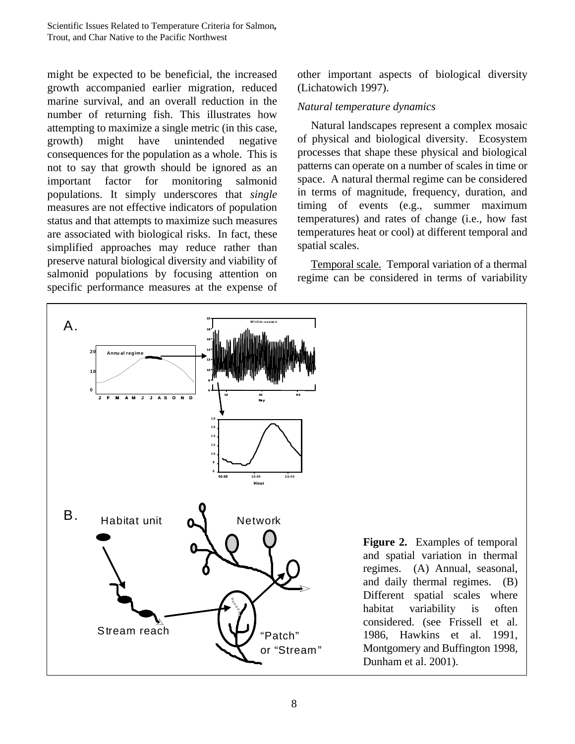might be expected to be beneficial, the increased growth accompanied earlier migration, reduced marine survival, and an overall reduction in the number of returning fish. This illustrates how attempting to maximize a single metric (in this case, growth) might have unintended negative consequences for the population as a whole. This is not to say that growth should be ignored as an important factor for monitoring salmonid populations. It simply underscores that *single* measures are not effective indicators of population status and that attempts to maximize such measures are associated with biological risks. In fact, these simplified approaches may reduce rather than preserve natural biological diversity and viability of salmonid populations by focusing attention on specific performance measures at the expense of other important aspects of biological diversity (Lichatowich 1997).

#### *Natural temperature dynamics*

Natural landscapes represent a complex mosaic of physical and biological diversity. Ecosystem processes that shape these physical and biological patterns can operate on a number of scales in time or space. A natural thermal regime can be considered in terms of magnitude, frequency, duration, and timing of events (e.g., summer maximum temperatures) and rates of change (i.e., how fast temperatures heat or cool) at different temporal and spatial scales.

Temporal scale. Temporal variation of a thermal regime can be considered in terms of variability

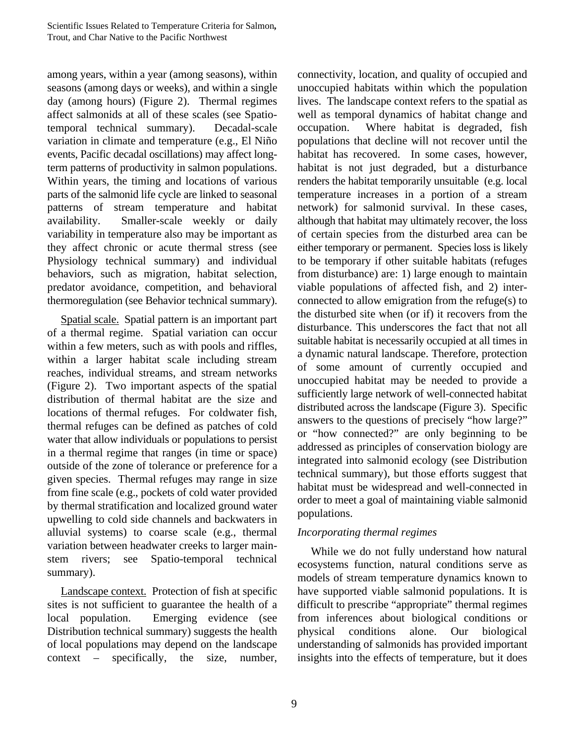among years, within a year (among seasons), within seasons (among days or weeks), and within a single day (among hours) (Figure 2). Thermal regimes affect salmonids at all of these scales (see Spatiotemporal technical summary). Decadal-scale variation in climate and temperature (e.g., El Niño events, Pacific decadal oscillations) may affect longterm patterns of productivity in salmon populations. Within years, the timing and locations of various parts of the salmonid life cycle are linked to seasonal patterns of stream temperature and habitat availability. Smaller-scale weekly or daily variability in temperature also may be important as they affect chronic or acute thermal stress (see Physiology technical summary) and individual behaviors, such as migration, habitat selection, predator avoidance, competition, and behavioral thermoregulation (see Behavior technical summary).

Spatial scale. Spatial pattern is an important part of a thermal regime. Spatial variation can occur within a few meters, such as with pools and riffles, within a larger habitat scale including stream reaches, individual streams, and stream networks (Figure 2). Two important aspects of the spatial distribution of thermal habitat are the size and locations of thermal refuges. For coldwater fish, thermal refuges can be defined as patches of cold water that allow individuals or populations to persist in a thermal regime that ranges (in time or space) outside of the zone of tolerance or preference for a given species. Thermal refuges may range in size from fine scale (e.g., pockets of cold water provided by thermal stratification and localized ground water upwelling to cold side channels and backwaters in alluvial systems) to coarse scale (e.g., thermal variation between headwater creeks to larger mainstem rivers; see Spatio-temporal technical summary).

Landscape context. Protection of fish at specific sites is not sufficient to guarantee the health of a local population. Emerging evidence (see Distribution technical summary) suggests the health of local populations may depend on the landscape context – specifically, the size, number, connectivity, location, and quality of occupied and unoccupied habitats within which the population lives. The landscape context refers to the spatial as well as temporal dynamics of habitat change and occupation. Where habitat is degraded, fish populations that decline will not recover until the habitat has recovered. In some cases, however, habitat is not just degraded, but a disturbance renders the habitat temporarily unsuitable (e.g. local temperature increases in a portion of a stream network) for salmonid survival. In these cases, although that habitat may ultimately recover, the loss of certain species from the disturbed area can be either temporary or permanent. Species loss is likely to be temporary if other suitable habitats (refuges from disturbance) are: 1) large enough to maintain viable populations of affected fish, and 2) interconnected to allow emigration from the refuge(s) to the disturbed site when (or if) it recovers from the disturbance. This underscores the fact that not all suitable habitat is necessarily occupied at all times in a dynamic natural landscape. Therefore, protection of some amount of currently occupied and unoccupied habitat may be needed to provide a sufficiently large network of well-connected habitat distributed across the landscape (Figure 3). Specific answers to the questions of precisely "how large?" or "how connected?" are only beginning to be addressed as principles of conservation biology are integrated into salmonid ecology (see Distribution technical summary), but those efforts suggest that habitat must be widespread and well-connected in order to meet a goal of maintaining viable salmonid populations.

#### *Incorporating thermal regimes*

While we do not fully understand how natural ecosystems function, natural conditions serve as models of stream temperature dynamics known to have supported viable salmonid populations. It is difficult to prescribe "appropriate" thermal regimes from inferences about biological conditions or physical conditions alone. Our biological understanding of salmonids has provided important insights into the effects of temperature, but it does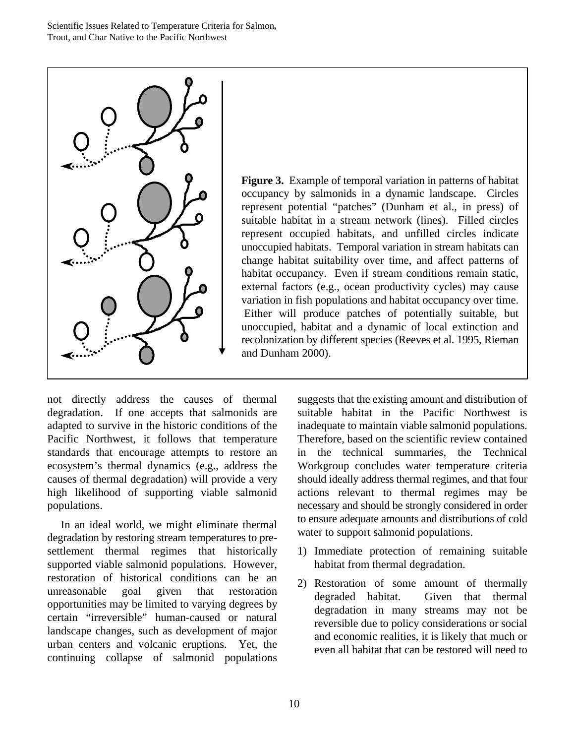

**Figure 3.** Example of temporal variation in patterns of habitat occupancy by salmonids in a dynamic landscape. Circles represent potential "patches" (Dunham et al., in press) of suitable habitat in a stream network (lines). Filled circles represent occupied habitats, and unfilled circles indicate unoccupied habitats. Temporal variation in stream habitats can change habitat suitability over time, and affect patterns of habitat occupancy. Even if stream conditions remain static, external factors (e.g., ocean productivity cycles) may cause variation in fish populations and habitat occupancy over time. Either will produce patches of potentially suitable, but unoccupied, habitat and a dynamic of local extinction and recolonization by different species (Reeves et al. 1995, Rieman and Dunham 2000).

not directly address the causes of thermal degradation. If one accepts that salmonids are adapted to survive in the historic conditions of the Pacific Northwest, it follows that temperature standards that encourage attempts to restore an ecosystem's thermal dynamics (e.g., address the causes of thermal degradation) will provide a very high likelihood of supporting viable salmonid populations.

In an ideal world, we might eliminate thermal degradation by restoring stream temperatures to presettlement thermal regimes that historically supported viable salmonid populations. However, restoration of historical conditions can be an unreasonable goal given that restoration opportunities may be limited to varying degrees by certain "irreversible" human-caused or natural landscape changes, such as development of major urban centers and volcanic eruptions. Yet, the continuing collapse of salmonid populations

suggests that the existing amount and distribution of suitable habitat in the Pacific Northwest is inadequate to maintain viable salmonid populations. Therefore, based on the scientific review contained in the technical summaries, the Technical Workgroup concludes water temperature criteria should ideally address thermal regimes, and that four actions relevant to thermal regimes may be necessary and should be strongly considered in order to ensure adequate amounts and distributions of cold water to support salmonid populations.

- 1) Immediate protection of remaining suitable habitat from thermal degradation.
- 2) Restoration of some amount of thermally degraded habitat. Given that thermal degradation in many streams may not be reversible due to policy considerations or social and economic realities, it is likely that much or even all habitat that can be restored will need to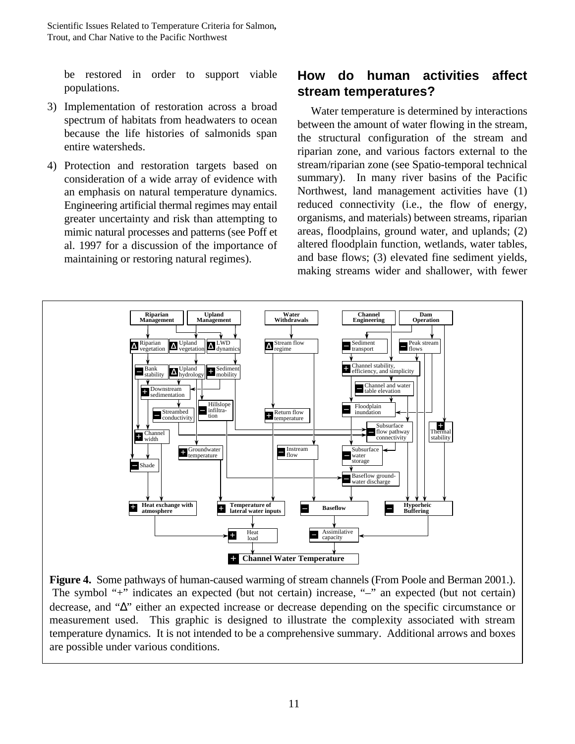be restored in order to support viable populations.

- 3) Implementation of restoration across a broad spectrum of habitats from headwaters to ocean because the life histories of salmonids span entire watersheds.
- 4) Protection and restoration targets based on consideration of a wide array of evidence with an emphasis on natural temperature dynamics. Engineering artificial thermal regimes may entail greater uncertainty and risk than attempting to mimic natural processes and patterns (see Poff et al. 1997 for a discussion of the importance of maintaining or restoring natural regimes).

## **How do human activities affect stream temperatures?**

Water temperature is determined by interactions between the amount of water flowing in the stream, the structural configuration of the stream and riparian zone, and various factors external to the stream/riparian zone (see Spatio-temporal technical summary). In many river basins of the Pacific Northwest, land management activities have (1) reduced connectivity (i.e., the flow of energy, organisms, and materials) between streams, riparian areas, floodplains, ground water, and uplands; (2) altered floodplain function, wetlands, water tables, and base flows; (3) elevated fine sediment yields, making streams wider and shallower, with fewer



**Figure 4.** Some pathways of human-caused warming of stream channels (From Poole and Berman 2001.). The symbol "+" indicates an expected (but not certain) increase, "–" an expected (but not certain) decrease, and "Δ" either an expected increase or decrease depending on the specific circumstance or measurement used. This graphic is designed to illustrate the complexity associated with stream temperature dynamics. It is not intended to be a comprehensive summary. Additional arrows and boxes are possible under various conditions.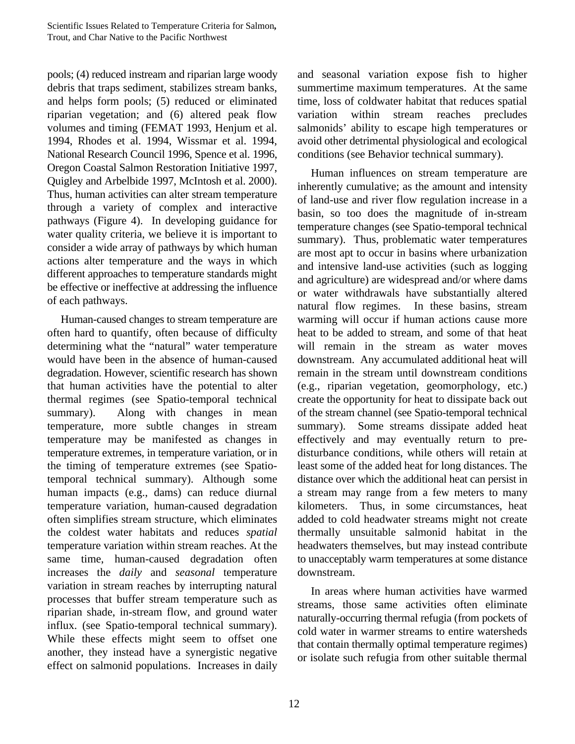pools; (4) reduced instream and riparian large woody debris that traps sediment, stabilizes stream banks, and helps form pools; (5) reduced or eliminated riparian vegetation; and (6) altered peak flow volumes and timing (FEMAT 1993, Henjum et al. 1994, Rhodes et al. 1994, Wissmar et al. 1994, National Research Council 1996, Spence et al. 1996, Oregon Coastal Salmon Restoration Initiative 1997, Quigley and Arbelbide 1997, McIntosh et al. 2000). Thus, human activities can alter stream temperature through a variety of complex and interactive pathways (Figure 4). In developing guidance for water quality criteria, we believe it is important to consider a wide array of pathways by which human actions alter temperature and the ways in which different approaches to temperature standards might be effective or ineffective at addressing the influence of each pathways.

Human-caused changes to stream temperature are often hard to quantify, often because of difficulty determining what the "natural" water temperature would have been in the absence of human-caused degradation. However, scientific research has shown that human activities have the potential to alter thermal regimes (see Spatio-temporal technical summary). Along with changes in mean temperature, more subtle changes in stream temperature may be manifested as changes in temperature extremes, in temperature variation, or in the timing of temperature extremes (see Spatiotemporal technical summary). Although some human impacts (e.g., dams) can reduce diurnal temperature variation, human-caused degradation often simplifies stream structure, which eliminates the coldest water habitats and reduces *spatial* temperature variation within stream reaches. At the same time, human-caused degradation often increases the *daily* and *seasonal* temperature variation in stream reaches by interrupting natural processes that buffer stream temperature such as riparian shade, in-stream flow, and ground water influx. (see Spatio-temporal technical summary). While these effects might seem to offset one another, they instead have a synergistic negative effect on salmonid populations. Increases in daily and seasonal variation expose fish to higher summertime maximum temperatures. At the same time, loss of coldwater habitat that reduces spatial variation within stream reaches precludes salmonids' ability to escape high temperatures or avoid other detrimental physiological and ecological conditions (see Behavior technical summary).

Human influences on stream temperature are inherently cumulative; as the amount and intensity of land-use and river flow regulation increase in a basin, so too does the magnitude of in-stream temperature changes (see Spatio-temporal technical summary). Thus, problematic water temperatures are most apt to occur in basins where urbanization and intensive land-use activities (such as logging and agriculture) are widespread and/or where dams or water withdrawals have substantially altered natural flow regimes. In these basins, stream warming will occur if human actions cause more heat to be added to stream, and some of that heat will remain in the stream as water moves downstream. Any accumulated additional heat will remain in the stream until downstream conditions (e.g., riparian vegetation, geomorphology, etc.) create the opportunity for heat to dissipate back out of the stream channel (see Spatio-temporal technical summary). Some streams dissipate added heat effectively and may eventually return to predisturbance conditions, while others will retain at least some of the added heat for long distances. The distance over which the additional heat can persist in a stream may range from a few meters to many kilometers. Thus, in some circumstances, heat added to cold headwater streams might not create thermally unsuitable salmonid habitat in the headwaters themselves, but may instead contribute to unacceptably warm temperatures at some distance downstream.

In areas where human activities have warmed streams, those same activities often eliminate naturally-occurring thermal refugia (from pockets of cold water in warmer streams to entire watersheds that contain thermally optimal temperature regimes) or isolate such refugia from other suitable thermal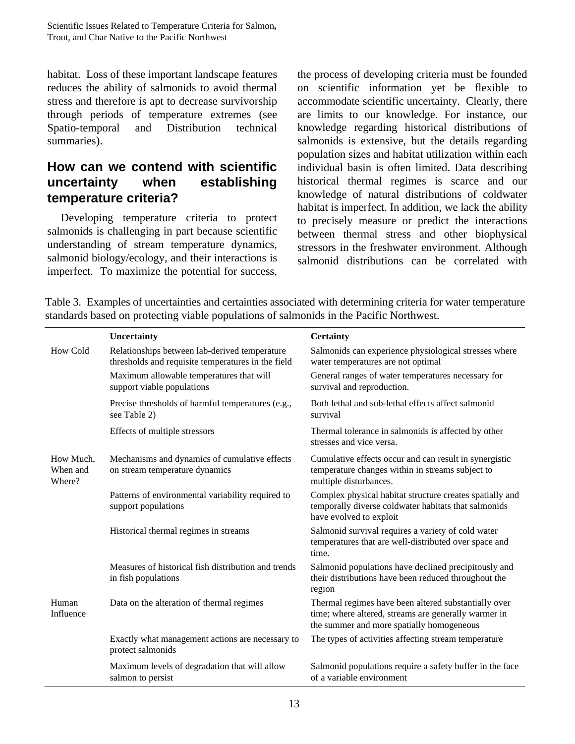habitat. Loss of these important landscape features reduces the ability of salmonids to avoid thermal stress and therefore is apt to decrease survivorship through periods of temperature extremes (see Spatio-temporal and Distribution technical summaries).

## **How can we contend with scientific uncertainty when establishing temperature criteria?**

Developing temperature criteria to protect salmonids is challenging in part because scientific understanding of stream temperature dynamics, salmonid biology/ecology, and their interactions is imperfect. To maximize the potential for success,

the process of developing criteria must be founded on scientific information yet be flexible to accommodate scientific uncertainty. Clearly, there are limits to our knowledge. For instance, our knowledge regarding historical distributions of salmonids is extensive, but the details regarding population sizes and habitat utilization within each individual basin is often limited. Data describing historical thermal regimes is scarce and our knowledge of natural distributions of coldwater habitat is imperfect. In addition, we lack the ability to precisely measure or predict the interactions between thermal stress and other biophysical stressors in the freshwater environment. Although salmonid distributions can be correlated with

Table 3. Examples of uncertainties and certainties associated with determining criteria for water temperature standards based on protecting viable populations of salmonids in the Pacific Northwest.

|                                 | Uncertainty                                                                                         | <b>Certainty</b>                                                                                                                                          |
|---------------------------------|-----------------------------------------------------------------------------------------------------|-----------------------------------------------------------------------------------------------------------------------------------------------------------|
| How Cold                        | Relationships between lab-derived temperature<br>thresholds and requisite temperatures in the field | Salmonids can experience physiological stresses where<br>water temperatures are not optimal                                                               |
|                                 | Maximum allowable temperatures that will<br>support viable populations                              | General ranges of water temperatures necessary for<br>survival and reproduction.                                                                          |
|                                 | Precise thresholds of harmful temperatures (e.g.,<br>see Table 2)                                   | Both lethal and sub-lethal effects affect salmonid<br>survival                                                                                            |
|                                 | Effects of multiple stressors                                                                       | Thermal tolerance in salmonids is affected by other<br>stresses and vice versa.                                                                           |
| How Much,<br>When and<br>Where? | Mechanisms and dynamics of cumulative effects<br>on stream temperature dynamics                     | Cumulative effects occur and can result in synergistic<br>temperature changes within in streams subject to<br>multiple disturbances.                      |
|                                 | Patterns of environmental variability required to<br>support populations                            | Complex physical habitat structure creates spatially and<br>temporally diverse coldwater habitats that salmonids<br>have evolved to exploit               |
|                                 | Historical thermal regimes in streams                                                               | Salmonid survival requires a variety of cold water<br>temperatures that are well-distributed over space and<br>time.                                      |
|                                 | Measures of historical fish distribution and trends<br>in fish populations                          | Salmonid populations have declined precipitously and<br>their distributions have been reduced throughout the<br>region                                    |
| Human<br>Influence              | Data on the alteration of thermal regimes                                                           | Thermal regimes have been altered substantially over<br>time; where altered, streams are generally warmer in<br>the summer and more spatially homogeneous |
|                                 | Exactly what management actions are necessary to<br>protect salmonids                               | The types of activities affecting stream temperature                                                                                                      |
|                                 | Maximum levels of degradation that will allow<br>salmon to persist                                  | Salmonid populations require a safety buffer in the face<br>of a variable environment                                                                     |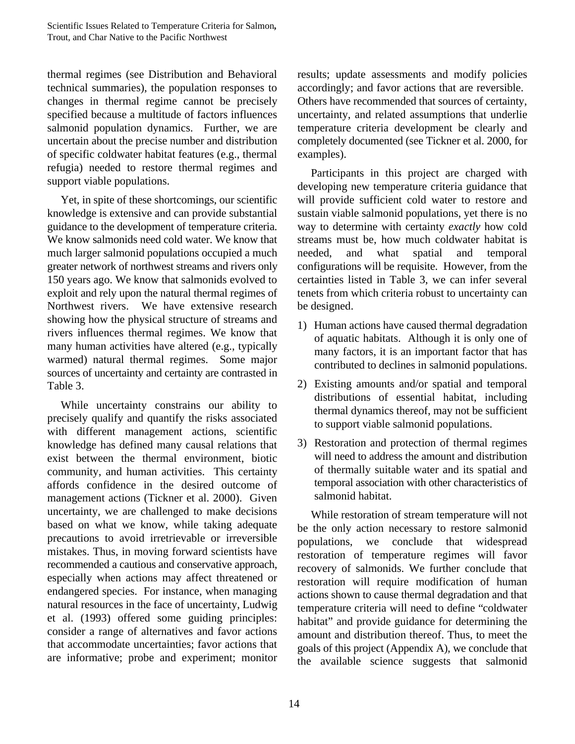thermal regimes (see Distribution and Behavioral technical summaries), the population responses to changes in thermal regime cannot be precisely specified because a multitude of factors influences salmonid population dynamics. Further, we are uncertain about the precise number and distribution of specific coldwater habitat features (e.g., thermal refugia) needed to restore thermal regimes and support viable populations.

Yet, in spite of these shortcomings, our scientific knowledge is extensive and can provide substantial guidance to the development of temperature criteria. We know salmonids need cold water. We know that much larger salmonid populations occupied a much greater network of northwest streams and rivers only 150 years ago. We know that salmonids evolved to exploit and rely upon the natural thermal regimes of Northwest rivers. We have extensive research showing how the physical structure of streams and rivers influences thermal regimes. We know that many human activities have altered (e.g., typically warmed) natural thermal regimes. Some major sources of uncertainty and certainty are contrasted in Table 3.

While uncertainty constrains our ability to precisely qualify and quantify the risks associated with different management actions, scientific knowledge has defined many causal relations that exist between the thermal environment, biotic community, and human activities. This certainty affords confidence in the desired outcome of management actions (Tickner et al. 2000). Given uncertainty, we are challenged to make decisions based on what we know, while taking adequate precautions to avoid irretrievable or irreversible mistakes. Thus, in moving forward scientists have recommended a cautious and conservative approach, especially when actions may affect threatened or endangered species. For instance, when managing natural resources in the face of uncertainty, Ludwig et al. (1993) offered some guiding principles: consider a range of alternatives and favor actions that accommodate uncertainties; favor actions that are informative; probe and experiment; monitor

results; update assessments and modify policies accordingly; and favor actions that are reversible. Others have recommended that sources of certainty, uncertainty, and related assumptions that underlie temperature criteria development be clearly and completely documented (see Tickner et al. 2000, for examples).

Participants in this project are charged with developing new temperature criteria guidance that will provide sufficient cold water to restore and sustain viable salmonid populations, yet there is no way to determine with certainty *exactly* how cold streams must be, how much coldwater habitat is needed, and what spatial and temporal configurations will be requisite. However, from the certainties listed in Table 3, we can infer several tenets from which criteria robust to uncertainty can be designed.

- 1) Human actions have caused thermal degradation of aquatic habitats. Although it is only one of many factors, it is an important factor that has contributed to declines in salmonid populations.
- 2) Existing amounts and/or spatial and temporal distributions of essential habitat, including thermal dynamics thereof, may not be sufficient to support viable salmonid populations.
- 3) Restoration and protection of thermal regimes will need to address the amount and distribution of thermally suitable water and its spatial and temporal association with other characteristics of salmonid habitat.

While restoration of stream temperature will not be the only action necessary to restore salmonid populations, we conclude that widespread restoration of temperature regimes will favor recovery of salmonids. We further conclude that restoration will require modification of human actions shown to cause thermal degradation and that temperature criteria will need to define "coldwater habitat" and provide guidance for determining the amount and distribution thereof. Thus, to meet the goals of this project (Appendix A), we conclude that the available science suggests that salmonid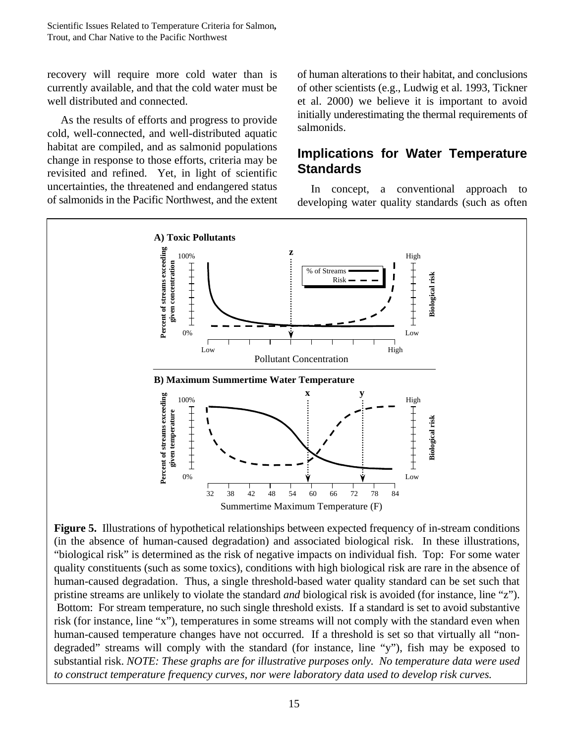recovery will require more cold water than is currently available, and that the cold water must be well distributed and connected.

As the results of efforts and progress to provide cold, well-connected, and well-distributed aquatic habitat are compiled, and as salmonid populations change in response to those efforts, criteria may be revisited and refined. Yet, in light of scientific uncertainties, the threatened and endangered status of salmonids in the Pacific Northwest, and the extent of human alterations to their habitat, and conclusions of other scientists (e.g., Ludwig et al. 1993, Tickner et al. 2000) we believe it is important to avoid initially underestimating the thermal requirements of salmonids.

## **Implications for Water Temperature Standards**

In concept, a conventional approach to developing water quality standards (such as often



**Figure 5.** Illustrations of hypothetical relationships between expected frequency of in-stream conditions (in the absence of human-caused degradation) and associated biological risk. In these illustrations, "biological risk" is determined as the risk of negative impacts on individual fish. Top: For some water quality constituents (such as some toxics), conditions with high biological risk are rare in the absence of human-caused degradation. Thus, a single threshold-based water quality standard can be set such that pristine streams are unlikely to violate the standard *and* biological risk is avoided (for instance, line "z"). Bottom: For stream temperature, no such single threshold exists. If a standard is set to avoid substantive risk (for instance, line "x"), temperatures in some streams will not comply with the standard even when human-caused temperature changes have not occurred. If a threshold is set so that virtually all "nondegraded" streams will comply with the standard (for instance, line "y"), fish may be exposed to substantial risk. *NOTE: These graphs are for illustrative purposes only. No temperature data were used to construct temperature frequency curves, nor were laboratory data used to develop risk curves.*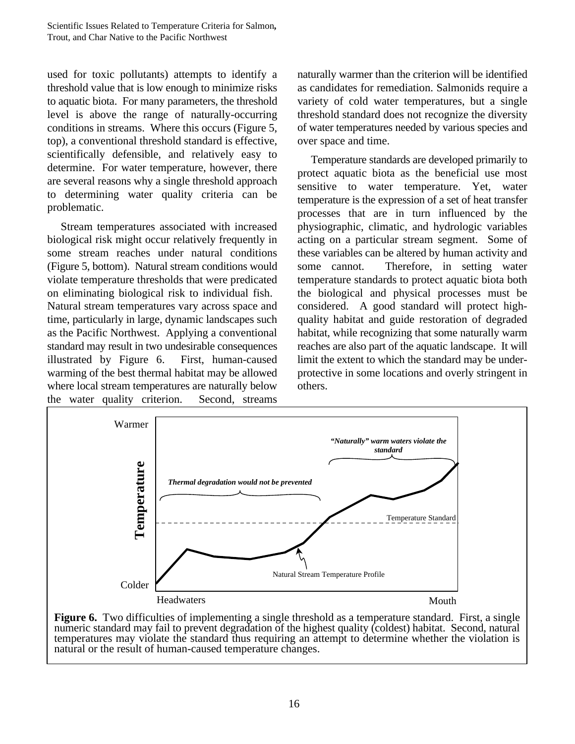used for toxic pollutants) attempts to identify a threshold value that is low enough to minimize risks to aquatic biota. For many parameters, the threshold level is above the range of naturally-occurring conditions in streams. Where this occurs (Figure 5, top), a conventional threshold standard is effective, scientifically defensible, and relatively easy to determine. For water temperature, however, there are several reasons why a single threshold approach to determining water quality criteria can be problematic.

Stream temperatures associated with increased biological risk might occur relatively frequently in some stream reaches under natural conditions (Figure 5, bottom). Natural stream conditions would violate temperature thresholds that were predicated on eliminating biological risk to individual fish. Natural stream temperatures vary across space and time, particularly in large, dynamic landscapes such as the Pacific Northwest. Applying a conventional standard may result in two undesirable consequences illustrated by Figure 6. First, human-caused warming of the best thermal habitat may be allowed where local stream temperatures are naturally below the water quality criterion. Second, streams

naturally warmer than the criterion will be identified as candidates for remediation. Salmonids require a variety of cold water temperatures, but a single threshold standard does not recognize the diversity of water temperatures needed by various species and over space and time.

Temperature standards are developed primarily to protect aquatic biota as the beneficial use most sensitive to water temperature. Yet, water temperature is the expression of a set of heat transfer processes that are in turn influenced by the physiographic, climatic, and hydrologic variables acting on a particular stream segment. Some of these variables can be altered by human activity and some cannot. Therefore, in setting water temperature standards to protect aquatic biota both the biological and physical processes must be considered. A good standard will protect highquality habitat and guide restoration of degraded habitat, while recognizing that some naturally warm reaches are also part of the aquatic landscape. It will limit the extent to which the standard may be underprotective in some locations and overly stringent in others.



Figure 6. Two difficulties of implementing a single threshold as a temperature standard. First, a single numeric standard may fail to prevent degradation of the highest quality (coldest) habitat. Second, natural temperatures may violate the standard thus requiring an attempt to determine whether the violation is natural or the result of human-caused temperature changes.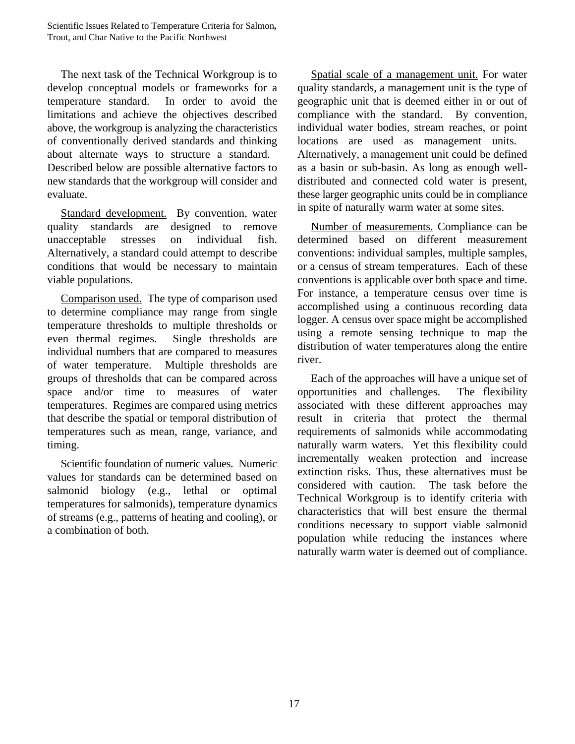The next task of the Technical Workgroup is to develop conceptual models or frameworks for a temperature standard. In order to avoid the limitations and achieve the objectives described above, the workgroup is analyzing the characteristics of conventionally derived standards and thinking about alternate ways to structure a standard. Described below are possible alternative factors to new standards that the workgroup will consider and evaluate.

Standard development. By convention, water quality standards are designed to remove unacceptable stresses on individual fish. Alternatively, a standard could attempt to describe conditions that would be necessary to maintain viable populations.

Comparison used. The type of comparison used to determine compliance may range from single temperature thresholds to multiple thresholds or even thermal regimes. Single thresholds are individual numbers that are compared to measures of water temperature. Multiple thresholds are groups of thresholds that can be compared across space and/or time to measures of water temperatures. Regimes are compared using metrics that describe the spatial or temporal distribution of temperatures such as mean, range, variance, and timing.

Scientific foundation of numeric values. Numeric values for standards can be determined based on salmonid biology (e.g., lethal or optimal temperatures for salmonids), temperature dynamics of streams (e.g., patterns of heating and cooling), or a combination of both.

Spatial scale of a management unit. For water quality standards, a management unit is the type of geographic unit that is deemed either in or out of compliance with the standard. By convention, individual water bodies, stream reaches, or point locations are used as management units. Alternatively, a management unit could be defined as a basin or sub-basin. As long as enough welldistributed and connected cold water is present, these larger geographic units could be in compliance in spite of naturally warm water at some sites.

Number of measurements. Compliance can be determined based on different measurement conventions: individual samples, multiple samples, or a census of stream temperatures. Each of these conventions is applicable over both space and time. For instance, a temperature census over time is accomplished using a continuous recording data logger. A census over space might be accomplished using a remote sensing technique to map the distribution of water temperatures along the entire river.

Each of the approaches will have a unique set of opportunities and challenges. The flexibility associated with these different approaches may result in criteria that protect the thermal requirements of salmonids while accommodating naturally warm waters. Yet this flexibility could incrementally weaken protection and increase extinction risks. Thus, these alternatives must be considered with caution. The task before the Technical Workgroup is to identify criteria with characteristics that will best ensure the thermal conditions necessary to support viable salmonid population while reducing the instances where naturally warm water is deemed out of compliance.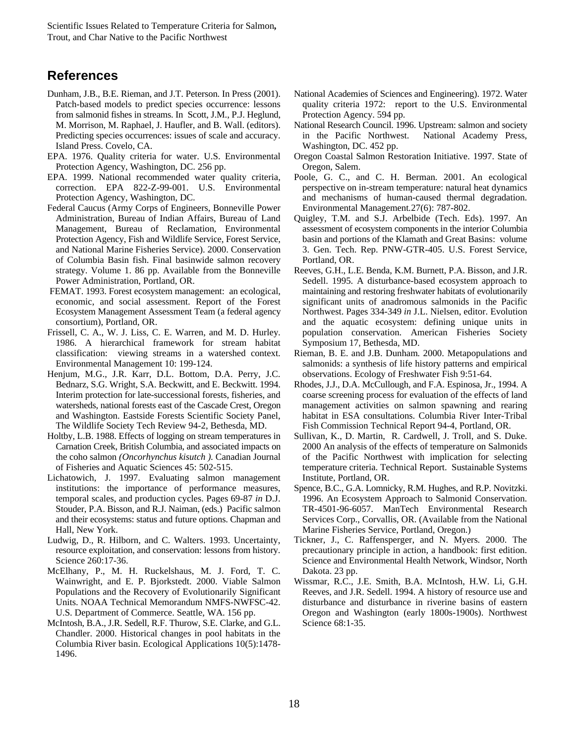### **References**

- Dunham, J.B., B.E. Rieman, and J.T. Peterson. In Press (2001). Patch-based models to predict species occurrence: lessons from salmonid fishes in streams. In Scott, J.M., P.J. Heglund, M. Morrison, M. Raphael, J. Haufler, and B. Wall. (editors). Predicting species occurrences: issues of scale and accuracy. Island Press. Covelo, CA.
- EPA. 1976. Quality criteria for water. U.S. Environmental Protection Agency, Washington, DC. 256 pp.
- EPA. 1999. National recommended water quality criteria, correction. EPA 822-Z-99-001. U.S. Environmental Protection Agency, Washington, DC.
- Federal Caucus (Army Corps of Engineers, Bonneville Power Administration, Bureau of Indian Affairs, Bureau of Land Management, Bureau of Reclamation, Environmental Protection Agency, Fish and Wildlife Service, Forest Service, and National Marine Fisheries Service). 2000. Conservation of Columbia Basin fish. Final basinwide salmon recovery strategy. Volume 1. 86 pp. Available from the Bonneville Power Administration, Portland, OR.
- FEMAT. 1993. Forest ecosystem management: an ecological, economic, and social assessment. Report of the Forest Ecosystem Management Assessment Team (a federal agency consortium), Portland, OR.
- Frissell, C. A., W. J. Liss, C. E. Warren, and M. D. Hurley. 1986. A hierarchical framework for stream habitat classification: viewing streams in a watershed context. Environmental Management 10: 199-124.
- Henjum, M.G., J.R. Karr, D.L. Bottom, D.A. Perry, J.C. Bednarz, S.G. Wright, S.A. Beckwitt, and E. Beckwitt. 1994. Interim protection for late-successional forests, fisheries, and watersheds, national forests east of the Cascade Crest, Oregon and Washington. Eastside Forests Scientific Society Panel, The Wildlife Society Tech Review 94-2, Bethesda, MD.
- Holtby, L.B. 1988. Effects of logging on stream temperatures in Carnation Creek, British Columbia, and associated impacts on the coho salmon *(Oncorhynchus kisutch ).* Canadian Journal of Fisheries and Aquatic Sciences 45: 502-515.
- Lichatowich, J. 1997. Evaluating salmon management institutions: the importance of performance measures, temporal scales, and production cycles. Pages 69-87 *in* D.J. Stouder, P.A. Bisson, and R.J. Naiman, (eds.) Pacific salmon and their ecosystems: status and future options. Chapman and Hall, New York.
- Ludwig, D., R. Hilborn, and C. Walters. 1993. Uncertainty, resource exploitation, and conservation: lessons from history. Science 260:17-36.
- McElhany, P., M. H. Ruckelshaus, M. J. Ford, T. C. Wainwright, and E. P. Bjorkstedt. 2000. Viable Salmon Populations and the Recovery of Evolutionarily Significant Units. NOAA Technical Memorandum NMFS-NWFSC-42. U.S. Department of Commerce. Seattle, WA. 156 pp.
- McIntosh, B.A., J.R. Sedell, R.F. Thurow, S.E. Clarke, and G.L. Chandler. 2000. Historical changes in pool habitats in the Columbia River basin. Ecological Applications 10(5):1478- 1496.
- National Academies of Sciences and Engineering). 1972. Water quality criteria 1972: report to the U.S. Environmental Protection Agency. 594 pp.
- National Research Council. 1996. Upstream: salmon and society in the Pacific Northwest. National Academy Press, Washington, DC. 452 pp.
- Oregon Coastal Salmon Restoration Initiative. 1997. State of Oregon, Salem.
- Poole, G. C., and C. H. Berman. 2001. An ecological perspective on in-stream temperature: natural heat dynamics and mechanisms of human-caused thermal degradation. Environmental Management*.*27(6): 787-802.
- Quigley, T.M. and S.J. Arbelbide (Tech. Eds). 1997. An assessment of ecosystem components in the interior Columbia basin and portions of the Klamath and Great Basins: volume 3. Gen. Tech. Rep. PNW-GTR-405. U.S. Forest Service, Portland, OR.
- Reeves, G.H., L.E. Benda, K.M. Burnett, P.A. Bisson, and J.R. Sedell. 1995. A disturbance-based ecosystem approach to maintaining and restoring freshwater habitats of evolutionarily significant units of anadromous salmonids in the Pacific Northwest. Pages 334-349 *in* J.L. Nielsen, editor. Evolution and the aquatic ecosystem: defining unique units in population conservation. American Fisheries Society Symposium 17, Bethesda, MD.
- Rieman, B. E. and J.B. Dunham. 2000. Metapopulations and salmonids: a synthesis of life history patterns and empirical observations. Ecology of Freshwater Fish 9:51-64.
- Rhodes, J.J., D.A. McCullough, and F.A. Espinosa, Jr., 1994. A coarse screening process for evaluation of the effects of land management activities on salmon spawning and rearing habitat in ESA consultations. Columbia River Inter-Tribal Fish Commission Technical Report 94-4, Portland, OR.
- Sullivan, K., D. Martin, R. Cardwell, J. Troll, and S. Duke. 2000 An analysis of the effects of temperature on Salmonids of the Pacific Northwest with implication for selecting temperature criteria. Technical Report. Sustainable Systems Institute, Portland, OR.
- Spence, B.C., G.A. Lomnicky, R.M. Hughes, and R.P. Novitzki. 1996. An Ecosystem Approach to Salmonid Conservation. TR-4501-96-6057. ManTech Environmental Research Services Corp., Corvallis, OR. (Available from the National Marine Fisheries Service, Portland, Oregon.)
- Tickner, J., C. Raffensperger, and N. Myers. 2000. The precautionary principle in action, a handbook: first edition. Science and Environmental Health Network, Windsor, North Dakota. 23 pp.
- Wissmar, R.C., J.E. Smith, B.A. McIntosh, H.W. Li, G.H. Reeves, and J.R. Sedell. 1994. A history of resource use and disturbance and disturbance in riverine basins of eastern Oregon and Washington (early 1800s-1900s). Northwest Science 68:1-35.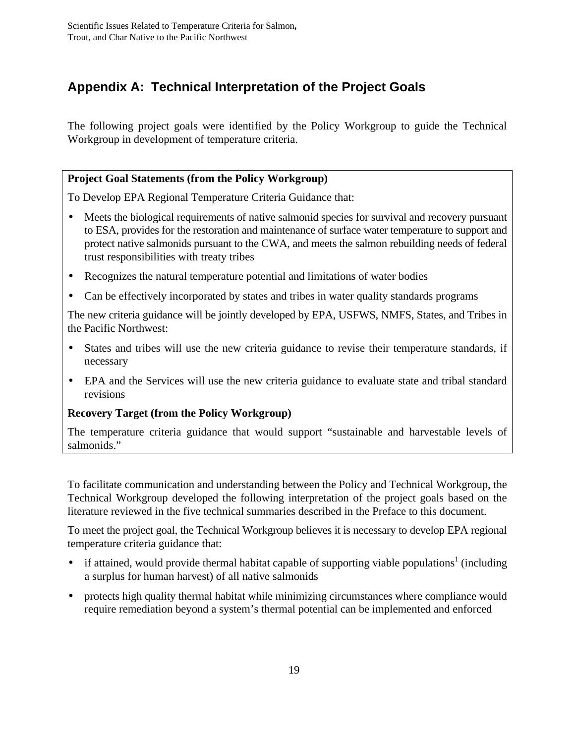## **Appendix A: Technical Interpretation of the Project Goals**

The following project goals were identified by the Policy Workgroup to guide the Technical Workgroup in development of temperature criteria.

#### **Project Goal Statements (from the Policy Workgroup)**

To Develop EPA Regional Temperature Criteria Guidance that:

- Meets the biological requirements of native salmonid species for survival and recovery pursuant to ESA, provides for the restoration and maintenance of surface water temperature to support and protect native salmonids pursuant to the CWA, and meets the salmon rebuilding needs of federal trust responsibilities with treaty tribes
- Recognizes the natural temperature potential and limitations of water bodies
- Can be effectively incorporated by states and tribes in water quality standards programs

The new criteria guidance will be jointly developed by EPA, USFWS, NMFS, States, and Tribes in the Pacific Northwest:

- States and tribes will use the new criteria guidance to revise their temperature standards, if necessary
- EPA and the Services will use the new criteria guidance to evaluate state and tribal standard revisions

#### **Recovery Target (from the Policy Workgroup)**

The temperature criteria guidance that would support "sustainable and harvestable levels of salmonids."

To facilitate communication and understanding between the Policy and Technical Workgroup, the Technical Workgroup developed the following interpretation of the project goals based on the literature reviewed in the five technical summaries described in the Preface to this document.

To meet the project goal, the Technical Workgroup believes it is necessary to develop EPA regional temperature criteria guidance that:

- if attained, would provide thermal habitat capable of supporting viable populations<sup>1</sup> (including a surplus for human harvest) of all native salmonids
- protects high quality thermal habitat while minimizing circumstances where compliance would require remediation beyond a system's thermal potential can be implemented and enforced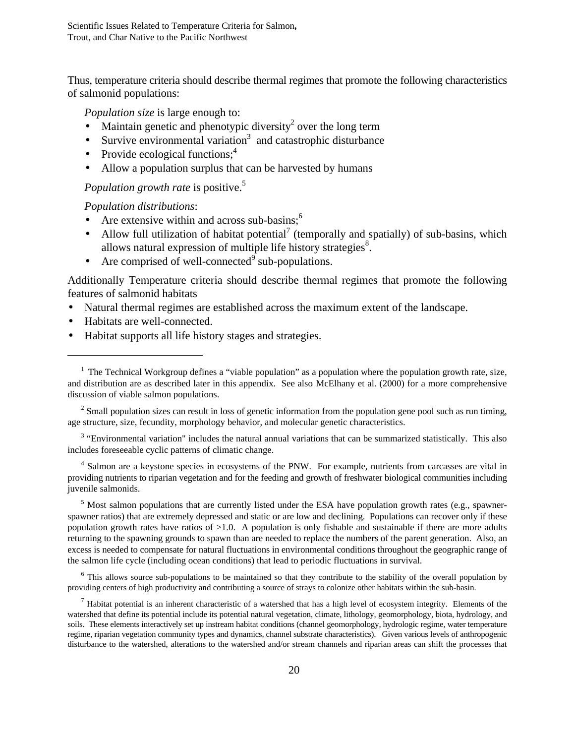Thus, temperature criteria should describe thermal regimes that promote the following characteristics of salmonid populations:

*Population size* is large enough to:

- Maintain genetic and phenotypic diversity<sup>2</sup> over the long term
- Survive environmental variation<sup>3</sup> and catastrophic disturbance
- Provide ecological functions; $<sup>4</sup>$ </sup>
- Allow a population surplus that can be harvested by humans

*Population growth rate* is positive.<sup>5</sup>

*Population distributions*:

- Are extensive within and across sub-basins; $<sup>6</sup>$ </sup>
- Allow full utilization of habitat potential<sup>7</sup> (temporally and spatially) of sub-basins, which allows natural expression of multiple life history strategies $8$ .
- Are comprised of well-connected<sup>9</sup> sub-populations.

Additionally Temperature criteria should describe thermal regimes that promote the following features of salmonid habitats

- Natural thermal regimes are established across the maximum extent of the landscape.
- Habitats are well-connected.

<u>.</u>

• Habitat supports all life history stages and strategies.

 $3$  "Environmental variation" includes the natural annual variations that can be summarized statistically. This also includes foreseeable cyclic patterns of climatic change.

<sup>4</sup> Salmon are a keystone species in ecosystems of the PNW. For example, nutrients from carcasses are vital in providing nutrients to riparian vegetation and for the feeding and growth of freshwater biological communities including juvenile salmonids.

<sup>5</sup> Most salmon populations that are currently listed under the ESA have population growth rates (e.g., spawnerspawner ratios) that are extremely depressed and static or are low and declining. Populations can recover only if these population growth rates have ratios of >1.0. A population is only fishable and sustainable if there are more adults returning to the spawning grounds to spawn than are needed to replace the numbers of the parent generation. Also, an excess is needed to compensate for natural fluctuations in environmental conditions throughout the geographic range of the salmon life cycle (including ocean conditions) that lead to periodic fluctuations in survival.

<sup>6</sup> This allows source sub-populations to be maintained so that they contribute to the stability of the overall population by providing centers of high productivity and contributing a source of strays to colonize other habitats within the sub-basin.

 $<sup>7</sup>$  Habitat potential is an inherent characteristic of a watershed that has a high level of ecosystem integrity. Elements of the</sup> watershed that define its potential include its potential natural vegetation, climate, lithology, geomorphology, biota, hydrology, and soils. These elements interactively set up instream habitat conditions (channel geomorphology, hydrologic regime, water temperature regime, riparian vegetation community types and dynamics, channel substrate characteristics). Given various levels of anthropogenic disturbance to the watershed, alterations to the watershed and/or stream channels and riparian areas can shift the processes that

 $<sup>1</sup>$  The Technical Workgroup defines a "viable population" as a population where the population growth rate, size,</sup> and distribution are as described later in this appendix. See also McElhany et al. (2000) for a more comprehensive discussion of viable salmon populations.

 $2^2$  Small population sizes can result in loss of genetic information from the population gene pool such as run timing, age structure, size, fecundity, morphology behavior, and molecular genetic characteristics.